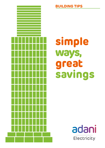

## **BUILDING TIPS**

# **simple ways, great savings**

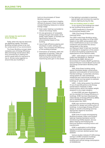#### **Lets change the world with Green Buildings.**

 Today, when the natural resources are depleting rapidly, The Green Building concept proves to be vital for conservation of our environment.

 The Green Building concept takes complete care of Energy Efficiency (EE) and Energy Conservation (EC), thus contributing in making this world a great place for everyone to live in. So lets come together to ensure that your building is

built on the principals of 'Green Building' concept.

Let us create a world that is healthy, efficient & pleasant .Green buildings include following measures to reduce Energy Usage.

- > Solar water heating is provided to reduce the energy needs.
- On-site generation of renewable energy through solar power, wind power, hydro power, or biomass can significantly reduce the environmental impact of the building.
- Use of high-efficiency glazing and insulation in walls, ceilings and floors. This increases the efficiency of the building envelope.
- Orientation of windows, walls and placement of porches. Trees are planted to shade windows and roofs during the summer while maximizing solar gain in the winter.



> Day lighting is provided to maximize natural light and minimise the need for electric lighting during the day.

#### **How are building rated in India?**

 In our country, the buildings are rated by two building rating systems viz.

 -LEED (Leadership in Energy & Environmental Design) India

 -TERI (The Energy & Resources Institute) Griha.

The LEED–India Green Building rating system came into effect on 01Jan 2007 based on the LEED rating system with minor modifications so as to suit Indian conditions and priorities.The various rating levels in the rating viz.'Platinum','Gold','S ilver'and 'Certified' are awarded in recognition of the extent to which the building outperforms the expectations of the national codes.

 LEED - India adopts a number of Indian Codes and Standards viz. National Building Code (NBC), Ministry of Environment & Forests (MoEF) guidelines, Central Pollution Control Board norms and the Energy Conservation Building Code (ECBC).

 TERI, Griha Green building rating system facilitates design, construction, operation and evaluation of environment friendly buildings. It prescribes voluntary rating system for new commercial, residential and institutional buildings. It is a point based scoring system to evaluate buildings on "green scale"

 LEED – India rating system has allotted 17 out of total 69 points to the Energy Conservation initiatives in New Constructions, which the highest weight assigned to any single category.

 In India ECBC has been developed to set the standard for Energy Efficiency in buildings. ECBC has been developed by India's Bureau of Energy Efficiency (BEE), and is mandated by the Energy Conservation Act, 2001.

 ECBC sets minimum energy efficiency standards for design and construction of buildings. It encourages Energy efficient design or retrofit of buildings and has appropriate regard for economic considerations.

 ECBC finds its scope encompassing Building Envelope, Indoor and Outdoor lighting, Heating Ventilation and Air Conditioning (HVAC) System, Service Water Heating and Pumping and Electrical Systems including motors and transformers.

 ECBC is applicable to all buildings having connected load greater than 500kW or contract demand grater than 600kVA.

 Various studies indicate 27-40% energy savings in ECBC-compliant buildings compared to a typical commercial building with annual energy consumption of 200kWh/m2.